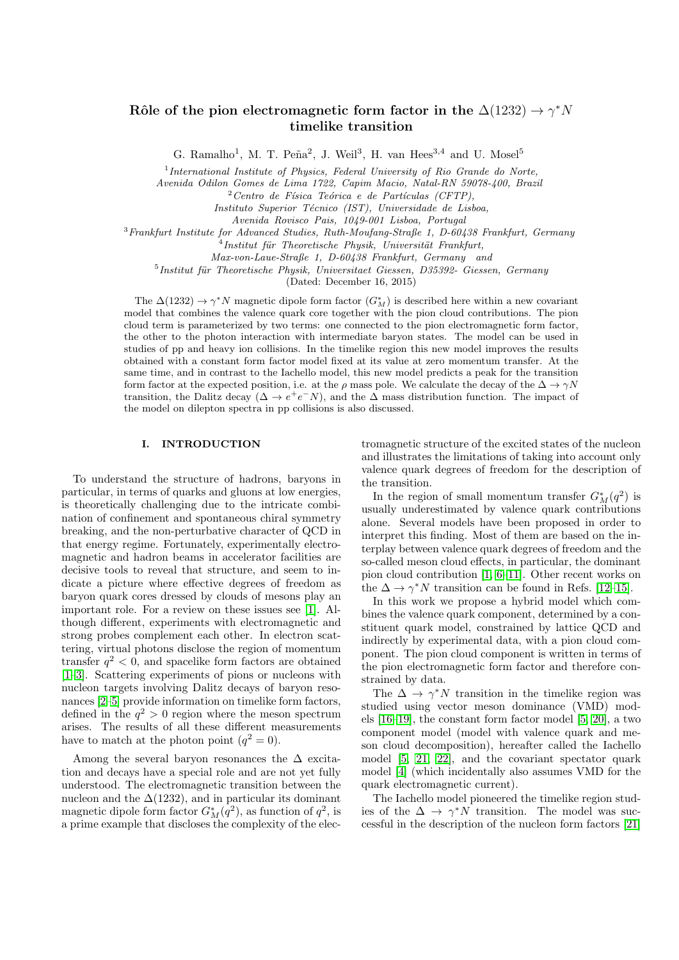# Rôle of the pion electromagnetic form factor in the  $\Delta(1232) \rightarrow \gamma^* N$ timelike transition

G. Ramalho<sup>1</sup>, M. T. Peña<sup>2</sup>, J. Weil<sup>3</sup>, H. van Hees<sup>3,4</sup> and U. Mosel<sup>5</sup>

<sup>1</sup>International Institute of Physics, Federal University of Rio Grande do Norte,

Avenida Odilon Gomes de Lima 1722, Capim Macio, Natal-RN 59078-400, Brazil

 $^{2}Centro$  de Física Teórica e de Partículas (CFTP).

Instituto Superior Técnico (IST), Universidade de Lisboa,

Avenida Rovisco Pais, 1049-001 Lisboa, Portugal

<sup>3</sup>Frankfurt Institute for Advanced Studies, Ruth-Moufang-Straße 1, D-60438 Frankfurt, Germany

<sup>4</sup> Institut für Theoretische Physik, Universität Frankfurt,

Max-von-Laue-Straße 1, D-60438 Frankfurt, Germany and

 $<sup>5</sup>$ Institut für Theoretische Physik, Universitaet Giessen, D35392- Giessen, Germany</sup>

(Dated: December 16, 2015)

The  $\Delta(1232) \rightarrow \gamma^* N$  magnetic dipole form factor  $(G_M^*)$  is described here within a new covariant model that combines the valence quark core together with the pion cloud contributions. The pion cloud term is parameterized by two terms: one connected to the pion electromagnetic form factor, the other to the photon interaction with intermediate baryon states. The model can be used in studies of pp and heavy ion collisions. In the timelike region this new model improves the results obtained with a constant form factor model fixed at its value at zero momentum transfer. At the same time, and in contrast to the Iachello model, this new model predicts a peak for the transition form factor at the expected position, i.e. at the  $\rho$  mass pole. We calculate the decay of the  $\Delta \to \gamma N$ transition, the Dalitz decay ( $\Delta \to e^+e^-N$ ), and the  $\Delta$  mass distribution function. The impact of the model on dilepton spectra in pp collisions is also discussed.

#### I. INTRODUCTION

To understand the structure of hadrons, baryons in particular, in terms of quarks and gluons at low energies, is theoretically challenging due to the intricate combination of confinement and spontaneous chiral symmetry breaking, and the non-perturbative character of QCD in that energy regime. Fortunately, experimentally electromagnetic and hadron beams in accelerator facilities are decisive tools to reveal that structure, and seem to indicate a picture where effective degrees of freedom as baryon quark cores dressed by clouds of mesons play an important role. For a review on these issues see [\[1\]](#page-9-0). Although different, experiments with electromagnetic and strong probes complement each other. In electron scattering, virtual photons disclose the region of momentum transfer  $q^2$  < 0, and spacelike form factors are obtained [\[1–](#page-9-0)[3\]](#page-9-1). Scattering experiments of pions or nucleons with nucleon targets involving Dalitz decays of baryon resonances [\[2–](#page-9-2)[5\]](#page-9-3) provide information on timelike form factors, defined in the  $q^2 > 0$  region where the meson spectrum arises. The results of all these different measurements have to match at the photon point  $(q^2 = 0)$ .

Among the several baryon resonances the  $\Delta$  excitation and decays have a special role and are not yet fully understood. The electromagnetic transition between the nucleon and the  $\Delta(1232)$ , and in particular its dominant magnetic dipole form factor  $G_M^*(q^2)$ , as function of  $q^2$ , is a prime example that discloses the complexity of the electromagnetic structure of the excited states of the nucleon and illustrates the limitations of taking into account only valence quark degrees of freedom for the description of the transition.

In the region of small momentum transfer  $G_M^*(q^2)$  is usually underestimated by valence quark contributions alone. Several models have been proposed in order to interpret this finding. Most of them are based on the interplay between valence quark degrees of freedom and the so-called meson cloud effects, in particular, the dominant pion cloud contribution [\[1,](#page-9-0) [6–](#page-9-4)[11\]](#page-9-5). Other recent works on the  $\Delta \to \gamma^* N$  transition can be found in Refs. [\[12–](#page-9-6)[15\]](#page-9-7).

In this work we propose a hybrid model which combines the valence quark component, determined by a constituent quark model, constrained by lattice QCD and indirectly by experimental data, with a pion cloud component. The pion cloud component is written in terms of the pion electromagnetic form factor and therefore constrained by data.

The  $\Delta \to \gamma^* N$  transition in the timelike region was studied using vector meson dominance (VMD) models [\[16](#page-9-8)[–19\]](#page-9-9), the constant form factor model [\[5,](#page-9-3) [20\]](#page-9-10), a two component model (model with valence quark and meson cloud decomposition), hereafter called the Iachello model [\[5,](#page-9-3) [21,](#page-9-11) [22\]](#page-9-12), and the covariant spectator quark model [\[4\]](#page-9-13) (which incidentally also assumes VMD for the quark electromagnetic current).

The Iachello model pioneered the timelike region studies of the  $\Delta \rightarrow \gamma^* N$  transition. The model was successful in the description of the nucleon form factors [\[21\]](#page-9-11)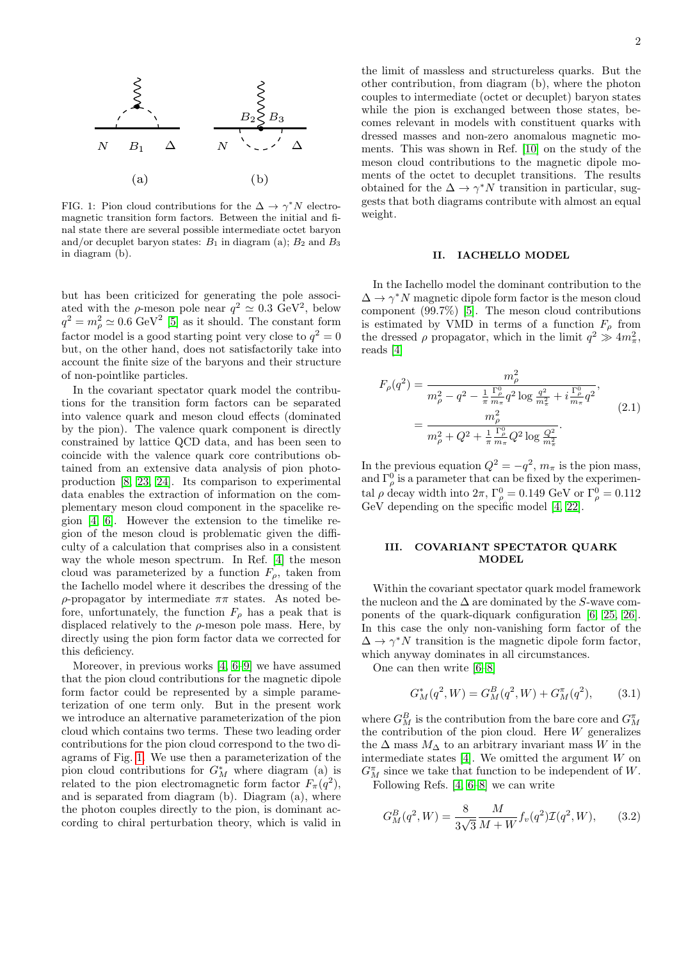

<span id="page-1-0"></span>FIG. 1: Pion cloud contributions for the  $\Delta \to \gamma^* N$  electromagnetic transition form factors. Between the initial and final state there are several possible intermediate octet baryon and/or decuplet baryon states:  $B_1$  in diagram (a);  $B_2$  and  $B_3$ in diagram (b).

but has been criticized for generating the pole associated with the  $\rho$ -meson pole near  $q^2 \simeq 0.3 \text{ GeV}^2$ , below  $q^2 = m_\rho^2 \simeq 0.6 \text{ GeV}^2$  [\[5\]](#page-9-3) as it should. The constant form factor model is a good starting point very close to  $q^2 = 0$ but, on the other hand, does not satisfactorily take into account the finite size of the baryons and their structure of non-pointlike particles.

In the covariant spectator quark model the contributions for the transition form factors can be separated into valence quark and meson cloud effects (dominated by the pion). The valence quark component is directly constrained by lattice QCD data, and has been seen to coincide with the valence quark core contributions obtained from an extensive data analysis of pion photoproduction [\[8,](#page-9-14) [23,](#page-9-15) [24\]](#page-9-16). Its comparison to experimental data enables the extraction of information on the complementary meson cloud component in the spacelike region [\[4,](#page-9-13) [6\]](#page-9-4). However the extension to the timelike region of the meson cloud is problematic given the difficulty of a calculation that comprises also in a consistent way the whole meson spectrum. In Ref. [\[4\]](#page-9-13) the meson cloud was parameterized by a function  $F_{\rho}$ , taken from the Iachello model where it describes the dressing of the ρ-propagator by intermediate ππ states. As noted before, unfortunately, the function  $F_{\rho}$  has a peak that is displaced relatively to the  $\rho$ -meson pole mass. Here, by directly using the pion form factor data we corrected for this deficiency.

Moreover, in previous works [\[4,](#page-9-13) [6–](#page-9-4)[9\]](#page-9-17) we have assumed that the pion cloud contributions for the magnetic dipole form factor could be represented by a simple parameterization of one term only. But in the present work we introduce an alternative parameterization of the pion cloud which contains two terms. These two leading order contributions for the pion cloud correspond to the two diagrams of Fig. [1.](#page-1-0) We use then a parameterization of the pion cloud contributions for  $G_M^*$  where diagram (a) is related to the pion electromagnetic form factor  $F_{\pi}(q^2)$ , and is separated from diagram (b). Diagram (a), where the photon couples directly to the pion, is dominant according to chiral perturbation theory, which is valid in

the limit of massless and structureless quarks. But the other contribution, from diagram (b), where the photon couples to intermediate (octet or decuplet) baryon states while the pion is exchanged between those states, becomes relevant in models with constituent quarks with dressed masses and non-zero anomalous magnetic moments. This was shown in Ref. [\[10\]](#page-9-18) on the study of the meson cloud contributions to the magnetic dipole moments of the octet to decuplet transitions. The results obtained for the  $\Delta \to \gamma^* N$  transition in particular, suggests that both diagrams contribute with almost an equal weight.

## II. IACHELLO MODEL

In the Iachello model the dominant contribution to the  $\Delta \to \gamma^* N$  magnetic dipole form factor is the meson cloud component (99.7%) [\[5\]](#page-9-3). The meson cloud contributions is estimated by VMD in terms of a function  $F_{\rho}$  from the dressed  $\rho$  propagator, which in the limit  $q^2 \gg 4m_{\pi}^2$ , reads [\[4\]](#page-9-13)

<span id="page-1-1"></span>
$$
F_{\rho}(q^2) = \frac{m_{\rho}^2}{m_{\rho}^2 - q^2 - \frac{1}{\pi} \frac{\Gamma_{\rho}^0}{m_{\pi}q^2} q^2 \log \frac{q^2}{m_{\pi}^2} + i \frac{\Gamma_{\rho}^0}{m_{\pi}q^2}},
$$
  
= 
$$
\frac{m_{\rho}^2}{m_{\rho}^2 + Q^2 + \frac{1}{\pi} \frac{\Gamma_{\rho}^0}{m_{\pi}q^2} Q^2 \log \frac{Q^2}{m_{\pi}^2}}.
$$
(2.1)

In the previous equation  $Q^2 = -q^2$ ,  $m_\pi$  is the pion mass, and  $\Gamma_\rho^0$  is a parameter that can be fixed by the experimental  $\rho$  decay width into  $2\pi$ ,  $\Gamma_\rho^0 = 0.149$  GeV or  $\Gamma_\rho^0 = 0.112$ GeV depending on the specific model [\[4,](#page-9-13) [22\]](#page-9-12).

## III. COVARIANT SPECTATOR QUARK MODEL.

Within the covariant spectator quark model framework the nucleon and the  $\Delta$  are dominated by the S-wave components of the quark-diquark configuration [\[6,](#page-9-4) [25,](#page-9-19) [26\]](#page-9-20). In this case the only non-vanishing form factor of the  $\Delta \to \gamma^* N$  transition is the magnetic dipole form factor, which anyway dominates in all circumstances.

One can then write [\[6](#page-9-4)[–8\]](#page-9-14)

$$
G_M^*(q^2, W) = G_M^B(q^2, W) + G_M^{\pi}(q^2), \qquad (3.1)
$$

where  $G_M^B$  is the contribution from the bare core and  $G_M^{\pi}$ the contribution of the pion cloud. Here  $W$  generalizes the  $\Delta$  mass  $M_{\Delta}$  to an arbitrary invariant mass W in the intermediate states  $[4]$ . We omitted the argument  $W$  on  $G_M^{\pi}$  since we take that function to be independent of  $W.$ 

Following Refs. [\[4,](#page-9-13) [6](#page-9-4)[–8\]](#page-9-14) we can write

$$
G_M^B(q^2, W) = \frac{8}{3\sqrt{3}} \frac{M}{M + W} f_v(q^2) \mathcal{I}(q^2, W), \qquad (3.2)
$$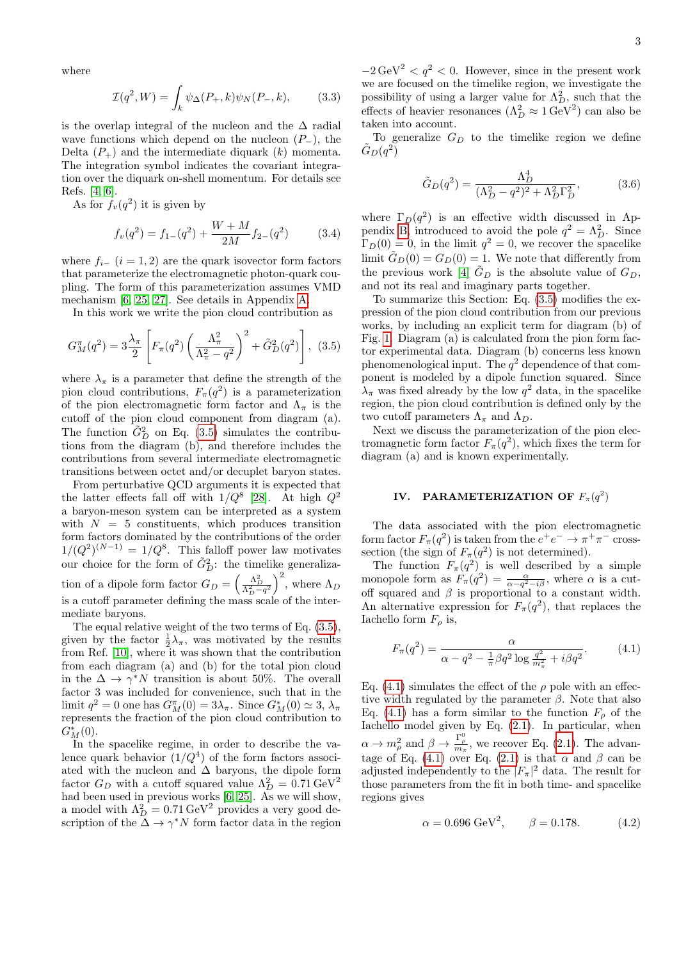where

$$
\mathcal{I}(q^2, W) = \int_k \psi_{\Delta}(P_+, k)\psi_N(P_-, k), \quad (3.3)
$$

is the overlap integral of the nucleon and the  $\Delta$  radial wave functions which depend on the nucleon  $(P_-\)$ , the Delta  $(P_+)$  and the intermediate diquark  $(k)$  momenta. The integration symbol indicates the covariant integration over the diquark on-shell momentum. For details see Refs. [\[4,](#page-9-13) [6\]](#page-9-4).

As for  $f_v(q^2)$  it is given by

$$
f_v(q^2) = f_{1-}(q^2) + \frac{W + M}{2M} f_{2-}(q^2)
$$
 (3.4)

where  $f_{i-}$  ( $i = 1, 2$ ) are the quark isovector form factors that parameterize the electromagnetic photon-quark coupling. The form of this parameterization assumes VMD mechanism [\[6,](#page-9-4) [25,](#page-9-19) [27\]](#page-9-21). See details in Appendix [A.](#page-8-0)

In this work we write the pion cloud contribution as

<span id="page-2-0"></span>
$$
G_M^{\pi}(q^2) = 3\frac{\lambda_{\pi}}{2} \left[ F_{\pi}(q^2) \left( \frac{\Lambda_{\pi}^2}{\Lambda_{\pi}^2 - q^2} \right)^2 + \tilde{G}_D^2(q^2) \right], \tag{3.5}
$$

where  $\lambda_{\pi}$  is a parameter that define the strength of the pion cloud contributions,  $F_{\pi}(q^2)$  is a parameterization of the pion electromagnetic form factor and  $\Lambda_{\pi}$  is the cutoff of the pion cloud component from diagram (a). The function  $\tilde{G}_{D}^{2}$  on Eq. [\(3.5\)](#page-2-0) simulates the contributions from the diagram (b), and therefore includes the contributions from several intermediate electromagnetic transitions between octet and/or decuplet baryon states.

From perturbative QCD arguments it is expected that the latter effects fall off with  $1/Q^8$  [\[28\]](#page-9-22). At high  $Q^2$ a baryon-meson system can be interpreted as a system with  $N = 5$  constituents, which produces transition form factors dominated by the contributions of the order  $1/(Q^2)^{(N-1)} = 1/Q^8$ . This falloff power law motivates our choice for the form of  $\tilde{G}_{D}^{2}$ : the timelike generalization of a dipole form factor  $G_D = \left(\frac{\Lambda_D^2}{\Lambda_D^2 - q^2}\right)^2$ , where  $\Lambda_D$ is a cutoff parameter defining the mass scale of the intermediate baryons.

The equal relative weight of the two terms of Eq. [\(3.5\)](#page-2-0), given by the factor  $\frac{1}{2}\lambda_{\pi}$ , was motivated by the results from Ref. [\[10\]](#page-9-18), where it was shown that the contribution from each diagram (a) and (b) for the total pion cloud in the  $\Delta \to \gamma^* N$  transition is about 50%. The overall factor 3 was included for convenience, such that in the limit  $q^2 = 0$  one has  $G_M^{\pi}(0) = 3\lambda_{\pi}$ . Since  $G_M^*(0) \simeq 3$ ,  $\lambda_{\pi}$ represents the fraction of the pion cloud contribution to  $G_M^*(0)$ .

In the spacelike regime, in order to describe the valence quark behavior  $(1/Q^4)$  of the form factors associated with the nucleon and  $\Delta$  baryons, the dipole form factor  $G_D$  with a cutoff squared value  $\Lambda_D^2 = 0.71 \,\text{GeV}^2$ had been used in previous works [\[6,](#page-9-4) [25\]](#page-9-19). As we will show, a model with  $\Lambda_D^2 = 0.71 \,\text{GeV}^2$  provides a very good description of the  $\Delta \to \gamma^* N$  form factor data in the region

3

 $-2 \text{ GeV}^2 < q^2 < 0$ . However, since in the present work we are focused on the timelike region, we investigate the possibility of using a larger value for  $\Lambda_D^2$ , such that the effects of heavier resonances  $(\Lambda_D^2 \approx 1 \,\text{GeV}^2)$  can also be taken into account.

To generalize  $G_D$  to the timelike region we define  $\tilde{G}_D(q^2)$ 

$$
\tilde{G}_D(q^2) = \frac{\Lambda_D^4}{(\Lambda_D^2 - q^2)^2 + \Lambda_D^2 \Gamma_D^2},\tag{3.6}
$$

where  $\Gamma_D(q^2)$  is an effective width discussed in Ap-pendix [B,](#page-8-1) introduced to avoid the pole  $q^2 = \Lambda_D^2$ . Since  $\Gamma_D(0) = 0$ , in the limit  $q^2 = 0$ , we recover the spacelike limit  $\tilde{G}_D(0) = G_D(0) = 1$ . We note that differently from the previous work [\[4\]](#page-9-13)  $\tilde{G}_D$  is the absolute value of  $G_D$ , and not its real and imaginary parts together.

To summarize this Section: Eq. [\(3.5\)](#page-2-0) modifies the expression of the pion cloud contribution from our previous works, by including an explicit term for diagram (b) of Fig. [1.](#page-1-0) Diagram (a) is calculated from the pion form factor experimental data. Diagram (b) concerns less known phenomenological input. The  $q^2$  dependence of that component is modeled by a dipole function squared. Since  $\lambda_{\pi}$  was fixed already by the low  $q^2$  data, in the spacelike region, the pion cloud contribution is defined only by the two cutoff parameters  $\Lambda_{\pi}$  and  $\Lambda_{D}$ .

Next we discuss the parameterization of the pion electromagnetic form factor  $F_{\pi}(q^2)$ , which fixes the term for diagram (a) and is known experimentally.

## IV. PARAMETERIZATION OF  $F_{\pi}(q^2)$

The data associated with the pion electromagnetic form factor  $F_{\pi}(q^2)$  is taken from the  $e^+e^- \to \pi^+\pi^-$  crosssection (the sign of  $F_{\pi}(q^2)$  is not determined).

The function  $F_{\pi}(q^2)$  is well described by a simple monopole form as  $F_{\pi}(q^2) = \frac{\alpha}{\alpha - q^2 - i \beta}$ , where  $\alpha$  is a cutoff squared and  $\beta$  is proportional to a constant width. An alternative expression for  $F_{\pi}(q^2)$ , that replaces the Iachello form  $F<sub>o</sub>$  is,

<span id="page-2-1"></span>
$$
F_{\pi}(q^2) = \frac{\alpha}{\alpha - q^2 - \frac{1}{\pi} \beta q^2 \log \frac{q^2}{m_{\pi}^2} + i\beta q^2}.
$$
 (4.1)

Eq. [\(4.1\)](#page-2-1) simulates the effect of the  $\rho$  pole with an effective width regulated by the parameter  $\beta$ . Note that also Eq. [\(4.1\)](#page-2-1) has a form similar to the function  $F<sub>o</sub>$  of the Iachello model given by Eq. [\(2.1\)](#page-1-1). In particular, when  $\alpha \to m_\rho^2$  and  $\beta \to \frac{\Gamma_\rho^0}{m_\pi}$ , we recover Eq. [\(2.1\)](#page-1-1). The advan-tage of Eq. [\(4.1\)](#page-2-1) over Eq. [\(2.1\)](#page-1-1) is that  $\alpha$  and  $\beta$  can be adjusted independently to the  $|F_{\pi}|^2$  data. The result for those parameters from the fit in both time- and spacelike regions gives

<span id="page-2-2"></span>
$$
\alpha = 0.696 \text{ GeV}^2, \qquad \beta = 0.178. \tag{4.2}
$$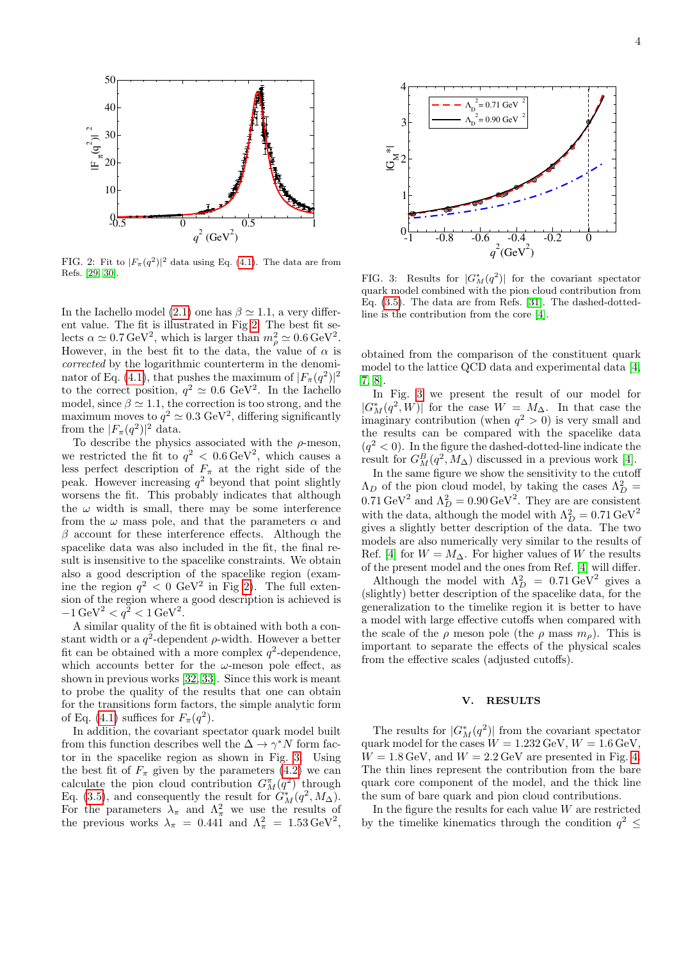

<span id="page-3-0"></span>FIG. 2: Fit to  $|F_{\pi}(q^2)|^2$  data using Eq. [\(4.1\)](#page-2-1). The data are from Refs. [\[29,](#page-9-23) [30\]](#page-9-24).

In the Iachello model [\(2.1\)](#page-1-1) one has  $\beta \simeq 1.1$ , a very different value. The fit is illustrated in Fig [2.](#page-3-0) The best fit selects  $\alpha \simeq 0.7 \,\text{GeV}^2$ , which is larger than  $m_\rho^2 \simeq 0.6 \,\text{GeV}^2$ . However, in the best fit to the data, the value of  $\alpha$  is corrected by the logarithmic counterterm in the denomi-nator of Eq. [\(4.1\)](#page-2-1), that pushes the maximum of  $|F_{\pi}(q^2)|^2$ to the correct position,  $q^2 \simeq 0.6 \text{ GeV}^2$ . In the Iachello model, since  $\beta \simeq 1.1$ , the correction is too strong, and the maximum moves to  $q^2 \simeq 0.3 \text{ GeV}^2$ , differing significantly from the  $|F_{\pi}(q^2)|^2$  data.

To describe the physics associated with the  $\rho$ -meson, we restricted the fit to  $q^2 < 0.6 \,\text{GeV}^2$ , which causes a less perfect description of  $F_{\pi}$  at the right side of the peak. However increasing  $q^2$  beyond that point slightly worsens the fit. This probably indicates that although the  $\omega$  width is small, there may be some interference from the  $\omega$  mass pole, and that the parameters  $\alpha$  and  $\beta$  account for these interference effects. Although the spacelike data was also included in the fit, the final result is insensitive to the spacelike constraints. We obtain also a good description of the spacelike region (examine the region  $q^2 < 0$  GeV<sup>2</sup> in Fig [2\)](#page-3-0). The full extension of the region where a good description is achieved is  $-1 \,\text{GeV}^2 < q^2 < 1 \,\text{GeV}^2$ .

A similar quality of the fit is obtained with both a constant width or a  $q^2$ -dependent  $\rho$ -width. However a better fit can be obtained with a more complex  $q^2$ -dependence, which accounts better for the  $\omega$ -meson pole effect, as shown in previous works [\[32,](#page-9-25) [33\]](#page-10-0). Since this work is meant to probe the quality of the results that one can obtain for the transitions form factors, the simple analytic form of Eq. [\(4.1\)](#page-2-1) suffices for  $F_{\pi}(q^2)$ .

In addition, the covariant spectator quark model built from this function describes well the  $\Delta \to \gamma^* N$  form factor in the spacelike region as shown in Fig. [3.](#page-3-1) Using the best fit of  $F_{\pi}$  given by the parameters [\(4.2\)](#page-2-2) we can calculate the pion cloud contribution  $G_M^{\pi}(q^2)$  through Eq. [\(3.5\)](#page-2-0), and consequently the result for  $G_M^*(q^2, M_\Delta)$ . For the parameters  $\lambda_{\pi}$  and  $\Lambda_{\pi}^2$  we use the results of the previous works  $\lambda_{\pi} = 0.441$  and  $\Lambda_{\pi}^2 = 1.53 \,\text{GeV}^2$ ,



<span id="page-3-1"></span>FIG. 3: Results for  $|G_M^*(q^2)|$  for the covariant spectator quark model combined with the pion cloud contribution from Eq. [\(3.5\)](#page-2-0). The data are from Refs. [\[31\]](#page-9-26). The dashed-dottedline is the contribution from the core [\[4\]](#page-9-13).

obtained from the comparison of the constituent quark model to the lattice QCD data and experimental data [\[4,](#page-9-13) [7,](#page-9-27) [8\]](#page-9-14).

In Fig. [3](#page-3-1) we present the result of our model for  $|G_M^*(q^2, W)|$  for the case  $W = M_\Delta$ . In that case the imaginary contribution (when  $q^2 > 0$ ) is very small and the results can be compared with the spacelike data  $(q^2 < 0)$ . In the figure the dashed-dotted-line indicate the result for  $G_M^B(q^2, M_\Delta)$  discussed in a previous work [\[4\]](#page-9-13).

In the same figure we show the sensitivity to the cutoff  $\Lambda_D$  of the pion cloud model, by taking the cases  $\Lambda_D^2$  =  $0.71 \,\text{GeV}^2$  and  $\Lambda_D^2 = 0.90 \,\text{GeV}^2$ . They are are consistent with the data, although the model with  $\Lambda_D^2 = 0.71 \, \text{GeV}^2$ gives a slightly better description of the data. The two models are also numerically very similar to the results of Ref. [\[4\]](#page-9-13) for  $W = M_{\Delta}$ . For higher values of W the results of the present model and the ones from Ref. [\[4\]](#page-9-13) will differ.

Although the model with  $\Lambda_D^2 = 0.71 \,\text{GeV}^2$  gives a (slightly) better description of the spacelike data, for the generalization to the timelike region it is better to have a model with large effective cutoffs when compared with the scale of the  $\rho$  meson pole (the  $\rho$  mass  $m_{\rho}$ ). This is important to separate the effects of the physical scales from the effective scales (adjusted cutoffs).

#### V. RESULTS

The results for  $|G_M^*(q^2)|$  from the covariant spectator quark model for the cases  $W = 1.232 \,\text{GeV}, W = 1.6 \,\text{GeV},$  $W = 1.8 \,\text{GeV}$ , and  $W = 2.2 \,\text{GeV}$  are presented in Fig. [4.](#page-4-0) The thin lines represent the contribution from the bare quark core component of the model, and the thick line the sum of bare quark and pion cloud contributions.

In the figure the results for each value  $W$  are restricted by the timelike kinematics through the condition  $q^2 \leq$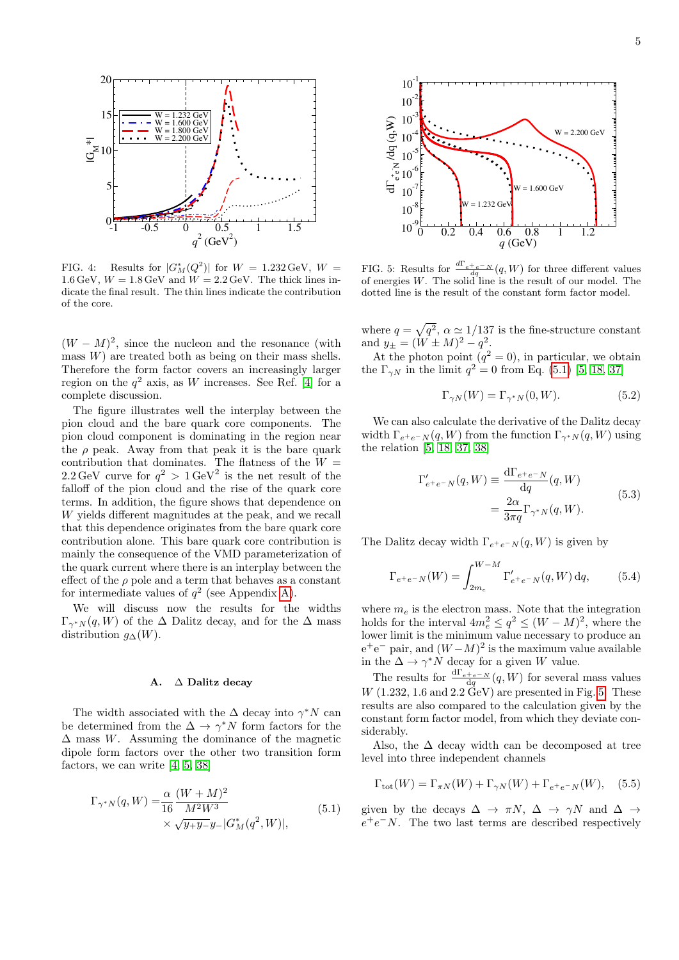

<span id="page-4-0"></span>FIG. 4: Results for  $|G_M^*(Q^2)|$  for  $W = 1.232 \,\text{GeV}, W =$ 1.6 GeV,  $W = 1.8$  GeV and  $\dot{W} = 2.2$  GeV. The thick lines indicate the final result. The thin lines indicate the contribution of the core.

 $(W - M)^2$ , since the nucleon and the resonance (with mass  $W$ ) are treated both as being on their mass shells. Therefore the form factor covers an increasingly larger region on the  $q^2$  axis, as W increases. See Ref. [\[4\]](#page-9-13) for a complete discussion.

The figure illustrates well the interplay between the pion cloud and the bare quark core components. The pion cloud component is dominating in the region near the  $\rho$  peak. Away from that peak it is the bare quark contribution that dominates. The flatness of the  $W =$ 2.2 GeV curve for  $q^2 > 1 \text{ GeV}^2$  is the net result of the falloff of the pion cloud and the rise of the quark core terms. In addition, the figure shows that dependence on W yields different magnitudes at the peak, and we recall that this dependence originates from the bare quark core contribution alone. This bare quark core contribution is mainly the consequence of the VMD parameterization of the quark current where there is an interplay between the effect of the  $\rho$  pole and a term that behaves as a constant for intermediate values of  $q^2$  (see Appendix [A\)](#page-8-0).

We will discuss now the results for the widths  $\Gamma_{\gamma^*N}(q, W)$  of the  $\Delta$  Dalitz decay, and for the  $\Delta$  mass distribution  $g_{\Delta}(W)$ .

#### A. ∆ Dalitz decay

The width associated with the  $\Delta$  decay into  $\gamma^* N$  can be determined from the  $\Delta \to \gamma^* N$  form factors for the  $\Delta$  mass W. Assuming the dominance of the magnetic dipole form factors over the other two transition form factors, we can write [\[4,](#page-9-13) [5,](#page-9-3) [38\]](#page-10-1)

<span id="page-4-1"></span>
$$
\Gamma_{\gamma^*N}(q, W) = \frac{\alpha}{16} \frac{(W + M)^2}{M^2 W^3} \times \sqrt{y_+ y_-} |G_M^*(q^2, W)|,
$$
\n(5.1)



<span id="page-4-2"></span>FIG. 5: Results for  $\frac{d\Gamma_{e^+e^-N}}{dq}(q, W)$  for three different values of energies  $W$ . The solid line is the result of our model. The dotted line is the result of the constant form factor model.

where  $q = \sqrt{q^2}$ ,  $\alpha \simeq 1/137$  is the fine-structure constant and  $y_{\pm} = (W \pm M)^2 - q^2$ .

At the photon point  $(q^2 = 0)$ , in particular, we obtain the  $\Gamma_{\gamma N}$  in the limit  $q^2 = 0$  from Eq. [\(5.1\)](#page-4-1) [\[5,](#page-9-3) [18,](#page-9-28) [37\]](#page-10-2)

<span id="page-4-3"></span>
$$
\Gamma_{\gamma N}(W) = \Gamma_{\gamma^* N}(0, W). \tag{5.2}
$$

We can also calculate the derivative of the Dalitz decay width  $\Gamma_{e^+e^-N}(q, W)$  from the function  $\Gamma_{\gamma^*N}(q, W)$  using the relation [\[5,](#page-9-3) [18,](#page-9-28) [37,](#page-10-2) [38\]](#page-10-1)

$$
\Gamma'_{e^+e^-N}(q,W) \equiv \frac{d\Gamma_{e^+e^-N}}{dq}(q,W)
$$

$$
= \frac{2\alpha}{3\pi q} \Gamma_{\gamma^*N}(q,W).
$$
(5.3)

The Dalitz decay width  $\Gamma_{e^+e^-N}(q, W)$  is given by

<span id="page-4-4"></span>
$$
\Gamma_{e^{+}e^{-}N}(W) = \int_{2m_e}^{W-M} \Gamma'_{e^{+}e^{-}N}(q, W) \,dq, \tag{5.4}
$$

where  $m_e$  is the electron mass. Note that the integration holds for the interval  $4m_e^2 \le q^2 \le (W-M)^2$ , where the lower limit is the minimum value necessary to produce an  $e^+e^-$  pair, and  $(W-M)^2$  is the maximum value available in the  $\Delta \to \gamma^* N$  decay for a given W value.

The results for  $\frac{d\Gamma_{e^+e^-N}}{dq}(q, W)$  for several mass values  $W$  (1.232, 1.6 and 2.2  $\text{GeV}$ ) are presented in Fig. [5.](#page-4-2) These results are also compared to the calculation given by the constant form factor model, from which they deviate considerably.

Also, the  $\Delta$  decay width can be decomposed at tree level into three independent channels

$$
\Gamma_{\text{tot}}(W) = \Gamma_{\pi N}(W) + \Gamma_{\gamma N}(W) + \Gamma_{e^+e^-N}(W), \quad (5.5)
$$

given by the decays  $\Delta \to \pi N$ ,  $\Delta \to \gamma N$  and  $\Delta \to$  $e^+e^-N$ . The two last terms are described respectively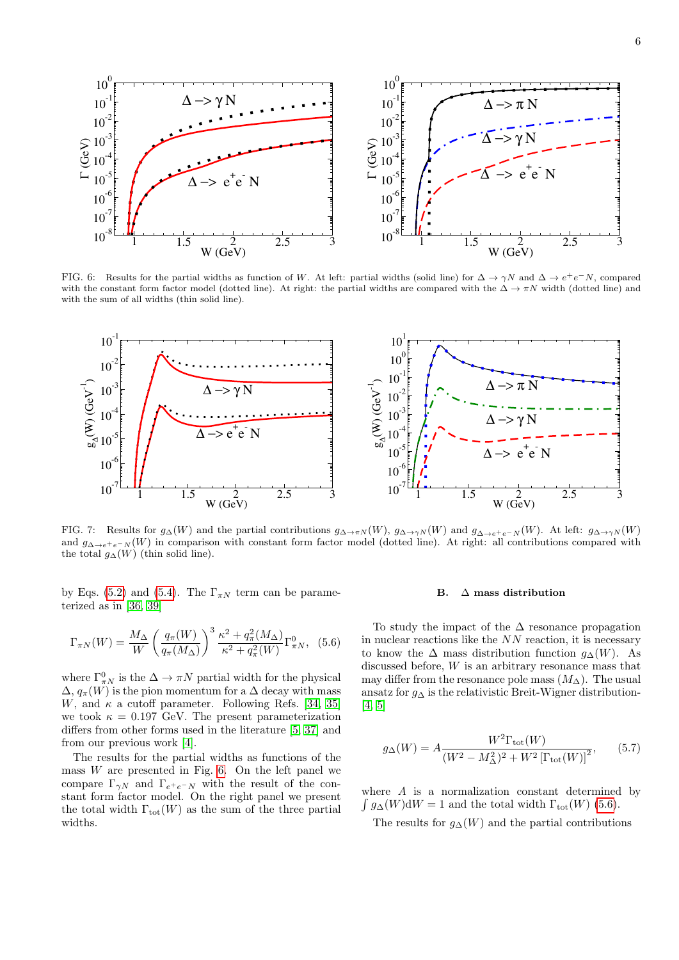

<span id="page-5-0"></span>FIG. 6: Results for the partial widths as function of W. At left: partial widths (solid line) for  $\Delta \to \gamma N$  and  $\Delta \to e^+e^-N$ , compared with the constant form factor model (dotted line). At right: the partial widths are compared with the  $\Delta \to \pi N$  width (dotted line) and with the sum of all widths (thin solid line).



<span id="page-5-2"></span>FIG. 7: Results for  $g\Delta(W)$  and the partial contributions  $g\Delta\rightarrow\pi N(W)$ ,  $g\Delta\rightarrow\gamma N(W)$  and  $g\Delta\rightarrow e^+e^-N(W)$ . At left:  $g\Delta\rightarrow\gamma N(W)$ and  $g_{\Delta\to e^+e^-N}(W)$  in comparison with constant form factor model (dotted line). At right: all contributions compared with the total  $g_{\Delta}(W)$  (thin solid line).

by Eqs. [\(5.2\)](#page-4-3) and [\(5.4\)](#page-4-4). The  $\Gamma_{\pi N}$  term can be parameterized as in [\[36,](#page-10-3) [39\]](#page-10-4)

<span id="page-5-1"></span>
$$
\Gamma_{\pi N}(W) = \frac{M_{\Delta}}{W} \left(\frac{q_{\pi}(W)}{q_{\pi}(M_{\Delta})}\right)^3 \frac{\kappa^2 + q_{\pi}^2(M_{\Delta})}{\kappa^2 + q_{\pi}^2(W)} \Gamma_{\pi N}^0, (5.6)
$$

where  $\Gamma^0_{\pi N}$  is the  $\Delta \to \pi N$  partial width for the physical  $\Delta$ ,  $q_{\pi}(W)$  is the pion momentum for a  $\Delta$  decay with mass W, and  $\kappa$  a cutoff parameter. Following Refs. [\[34,](#page-10-5) [35\]](#page-10-6) we took  $\kappa = 0.197$  GeV. The present parameterization differs from other forms used in the literature [\[5,](#page-9-3) [37\]](#page-10-2) and from our previous work [\[4\]](#page-9-13).

The results for the partial widths as functions of the mass  $W$  are presented in Fig. [6.](#page-5-0) On the left panel we compare  $\Gamma_{\gamma N}$  and  $\Gamma_{e^+e^-N}$  with the result of the constant form factor model. On the right panel we present the total width  $\Gamma_{\text{tot}}(W)$  as the sum of the three partial widths.

#### B.  $\Delta$  mass distribution

To study the impact of the  $\Delta$  resonance propagation in nuclear reactions like the  $NN$  reaction, it is necessary to know the  $\Delta$  mass distribution function  $g_{\Delta}(W)$ . As discussed before, W is an arbitrary resonance mass that may differ from the resonance pole mass  $(M<sub>∆</sub>)$ . The usual ansatz for  $g_{\Delta}$  is the relativistic Breit-Wigner distribution-[\[4,](#page-9-13) [5\]](#page-9-3)

<span id="page-5-3"></span>
$$
g_{\Delta}(W) = A \frac{W^2 \Gamma_{\text{tot}}(W)}{(W^2 - M_{\Delta}^2)^2 + W^2 \left[\Gamma_{\text{tot}}(W)\right]^2},\tag{5.7}
$$

where  $A$  is a normalization constant determined by  $\int g_{\Delta}(W) dW = 1$  and the total width  $\Gamma_{tot}(W)$  [\(5.6\)](#page-5-1).

The results for  $g_{\Delta}(W)$  and the partial contributions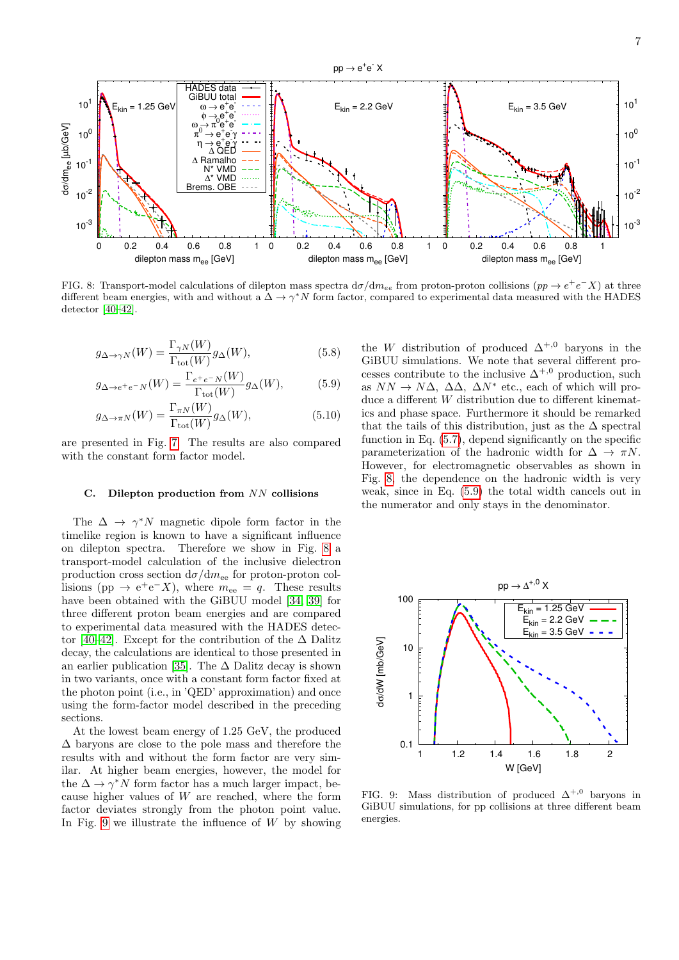



<span id="page-6-0"></span>FIG. 8: Transport-model calculations of dilepton mass spectra  $d\sigma/dm_{ee}$  from proton-proton collisions  $(pp \to e^+e^- X)$  at three different beam energies, with and without a  $\Delta \to \gamma^* N$  form factor, compared to experimental data measured with the HADES detector [\[40–](#page-10-7)[42\]](#page-10-8).

$$
g_{\Delta \to \gamma N}(W) = \frac{\Gamma_{\gamma N}(W)}{\Gamma_{\text{tot}}(W)} g_{\Delta}(W), \tag{5.8}
$$

HADES data GiBUU total  $\omega \rightarrow e^+e^ \stackrel{\sim}{\phi} \rightarrow e^+e^ \omega \rightarrow \pi^0 e^+e^-$ 

 $10<sup>0</sup>$ 

 $10^{1}$ 

 $= 1.25$  GeV

$$
g_{\Delta \to e^+e^-N}(W) = \frac{\Gamma_{e^+e^-N}(W)}{\Gamma_{\text{tot}}(W)} g_{\Delta}(W), \tag{5.9}
$$

$$
g_{\Delta \to \pi N}(W) = \frac{\Gamma_{\pi N}(W)}{\Gamma_{\text{tot}}(W)} g_{\Delta}(W), \qquad (5.10)
$$

are presented in Fig. [7.](#page-5-2) The results are also compared with the constant form factor model.

#### C. Dilepton production from  $NN$  collisions

The  $\Delta \rightarrow \gamma^* N$  magnetic dipole form factor in the timelike region is known to have a significant influence on dilepton spectra. Therefore we show in Fig. [8](#page-6-0) a transport-model calculation of the inclusive dielectron production cross section  $d\sigma/dm_{ee}$  for proton-proton collisions (pp  $\rightarrow e^+e^-X$ ), where  $m_{ee} = q$ . These results have been obtained with the GiBUU model [\[34,](#page-10-5) [39\]](#page-10-4) for three different proton beam energies and are compared to experimental data measured with the HADES detec-tor [\[40–](#page-10-7)[42\]](#page-10-8). Except for the contribution of the  $\Delta$  Dalitz decay, the calculations are identical to those presented in an earlier publication [\[35\]](#page-10-6). The  $\Delta$  Dalitz decay is shown in two variants, once with a constant form factor fixed at the photon point (i.e., in 'QED' approximation) and once using the form-factor model described in the preceding sections.

At the lowest beam energy of 1.25 GeV, the produced ∆ baryons are close to the pole mass and therefore the results with and without the form factor are very similar. At higher beam energies, however, the model for the  $\Delta \to \gamma^* N$  form factor has a much larger impact, because higher values of W are reached, where the form factor deviates strongly from the photon point value. In Fig. [9](#page-6-1) we illustrate the influence of  $W$  by showing <span id="page-6-2"></span>the W distribution of produced  $\Delta^{+,0}$  baryons in the GiBUU simulations. We note that several different processes contribute to the inclusive  $\Delta^{+,0}$  production, such as  $NN \to N\Delta$ ,  $\Delta\Delta$ ,  $\Delta N^*$  etc., each of which will produce a different W distribution due to different kinematics and phase space. Furthermore it should be remarked that the tails of this distribution, just as the  $\Delta$  spectral function in Eq. [\(5.7\)](#page-5-3), depend significantly on the specific parameterization of the hadronic width for  $\Delta \rightarrow \pi N$ . However, for electromagnetic observables as shown in Fig. [8,](#page-6-0) the dependence on the hadronic width is very weak, since in Eq. [\(5.9\)](#page-6-2) the total width cancels out in the numerator and only stays in the denominator.



<span id="page-6-1"></span>FIG. 9: Mass distribution of produced  $\Delta^{+,0}$  baryons in GiBUU simulations, for pp collisions at three different beam energies.

 $10<sup>0</sup>$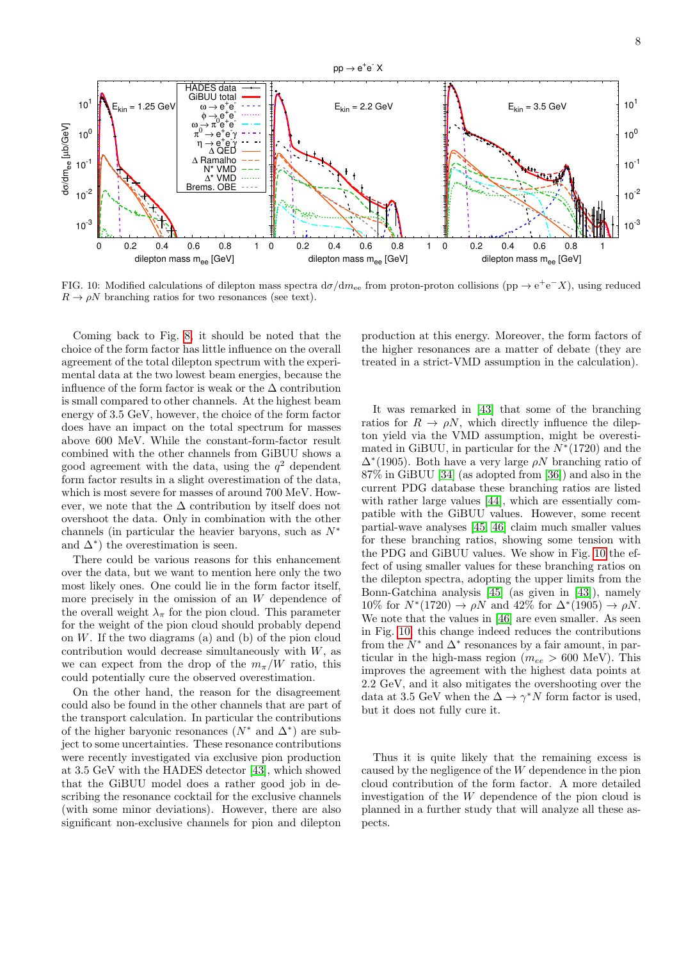

<span id="page-7-0"></span>FIG. 10: Modified calculations of dilepton mass spectra  $d\sigma/dm_{ee}$  from proton-proton collisions (pp  $\rightarrow e^+e^-X$ ), using reduced  $R \to \rho N$  branching ratios for two resonances (see text).

Coming back to Fig. [8,](#page-6-0) it should be noted that the choice of the form factor has little influence on the overall agreement of the total dilepton spectrum with the experimental data at the two lowest beam energies, because the influence of the form factor is weak or the  $\Delta$  contribution is small compared to other channels. At the highest beam energy of 3.5 GeV, however, the choice of the form factor does have an impact on the total spectrum for masses above 600 MeV. While the constant-form-factor result combined with the other channels from GiBUU shows a good agreement with the data, using the  $q^2$  dependent form factor results in a slight overestimation of the data, which is most severe for masses of around 700 MeV. However, we note that the  $\Delta$  contribution by itself does not overshoot the data. Only in combination with the other channels (in particular the heavier baryons, such as  $N^*$ and  $\Delta^*$ ) the overestimation is seen.

There could be various reasons for this enhancement over the data, but we want to mention here only the two most likely ones. One could lie in the form factor itself, more precisely in the omission of an W dependence of the overall weight  $\lambda_{\pi}$  for the pion cloud. This parameter for the weight of the pion cloud should probably depend on  $W$ . If the two diagrams (a) and (b) of the pion cloud contribution would decrease simultaneously with  $W$ , as we can expect from the drop of the  $m_\pi/W$  ratio, this could potentially cure the observed overestimation.

On the other hand, the reason for the disagreement could also be found in the other channels that are part of the transport calculation. In particular the contributions of the higher baryonic resonances  $(N^*$  and  $\Delta^*)$  are subject to some uncertainties. These resonance contributions were recently investigated via exclusive pion production at 3.5 GeV with the HADES detector [\[43\]](#page-10-9), which showed that the GiBUU model does a rather good job in describing the resonance cocktail for the exclusive channels (with some minor deviations). However, there are also significant non-exclusive channels for pion and dilepton production at this energy. Moreover, the form factors of the higher resonances are a matter of debate (they are treated in a strict-VMD assumption in the calculation).

It was remarked in [\[43\]](#page-10-9) that some of the branching ratios for  $R \to \rho N$ , which directly influence the dilepton yield via the VMD assumption, might be overestimated in GiBUU, in particular for the  $N^*(1720)$  and the  $\Delta^*(1905)$ . Both have a very large  $\rho N$  branching ratio of 87% in GiBUU [\[34\]](#page-10-5) (as adopted from [\[36\]](#page-10-3)) and also in the current PDG database these branching ratios are listed with rather large values [\[44\]](#page-10-10), which are essentially compatible with the GiBUU values. However, some recent partial-wave analyses [\[45,](#page-10-11) [46\]](#page-10-12) claim much smaller values for these branching ratios, showing some tension with the PDG and GiBUU values. We show in Fig. [10](#page-7-0) the effect of using smaller values for these branching ratios on the dilepton spectra, adopting the upper limits from the Bonn-Gatchina analysis [\[45\]](#page-10-11) (as given in [\[43\]](#page-10-9)), namely  $10\%$  for  $N^*(1720) \rightarrow \rho N$  and  $42\%$  for  $\Delta^*(1905) \rightarrow \rho N$ . We note that the values in [\[46\]](#page-10-12) are even smaller. As seen in Fig. [10,](#page-7-0) this change indeed reduces the contributions from the  $N^*$  and  $\Delta^*$  resonances by a fair amount, in particular in the high-mass region ( $m_{ee} > 600$  MeV). This improves the agreement with the highest data points at 2.2 GeV, and it also mitigates the overshooting over the data at 3.5 GeV when the  $\Delta \to \gamma^* N$  form factor is used, but it does not fully cure it.

Thus it is quite likely that the remaining excess is caused by the negligence of the W dependence in the pion cloud contribution of the form factor. A more detailed investigation of the W dependence of the pion cloud is planned in a further study that will analyze all these aspects.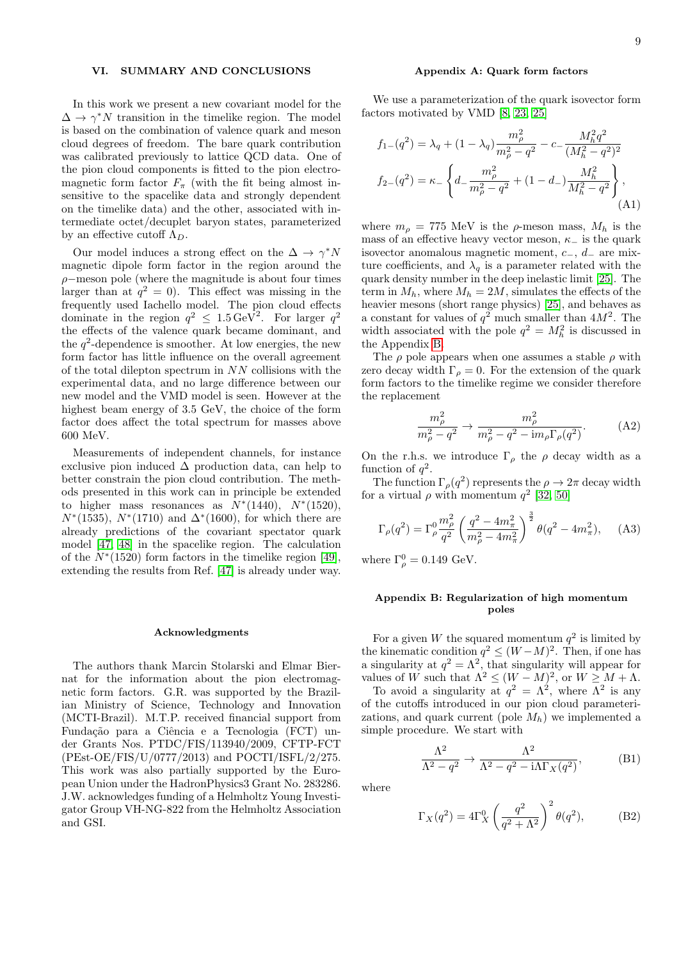#### VI. SUMMARY AND CONCLUSIONS

In this work we present a new covariant model for the  $\Delta \to \gamma^* N$  transition in the timelike region. The model is based on the combination of valence quark and meson cloud degrees of freedom. The bare quark contribution was calibrated previously to lattice QCD data. One of the pion cloud components is fitted to the pion electromagnetic form factor  $F_{\pi}$  (with the fit being almost insensitive to the spacelike data and strongly dependent on the timelike data) and the other, associated with intermediate octet/decuplet baryon states, parameterized by an effective cutoff  $\Lambda_D$ .

Our model induces a strong effect on the  $\Delta \to \gamma^* N$ magnetic dipole form factor in the region around the  $\rho$ −meson pole (where the magnitude is about four times larger than at  $q^2 = 0$ ). This effect was missing in the frequently used Iachello model. The pion cloud effects dominate in the region  $q^2 \leq 1.5 \,\text{GeV}^2$ . For larger  $q^2$ the effects of the valence quark became dominant, and the  $q^2$ -dependence is smoother. At low energies, the new form factor has little influence on the overall agreement of the total dilepton spectrum in NN collisions with the experimental data, and no large difference between our new model and the VMD model is seen. However at the highest beam energy of 3.5 GeV, the choice of the form factor does affect the total spectrum for masses above 600 MeV.

Measurements of independent channels, for instance exclusive pion induced  $\Delta$  production data, can help to better constrain the pion cloud contribution. The methods presented in this work can in principle be extended to higher mass resonances as  $N^*(1440)$ ,  $N^*(1520)$ ,  $N^*(1535)$ ,  $N^*(1710)$  and  $\Delta^*(1600)$ , for which there are already predictions of the covariant spectator quark model [\[47,](#page-10-13) [48\]](#page-10-14) in the spacelike region. The calculation of the  $N^*(1520)$  form factors in the timelike region [\[49\]](#page-10-15), extending the results from Ref. [\[47\]](#page-10-13) is already under way.

#### Acknowledgments

The authors thank Marcin Stolarski and Elmar Biernat for the information about the pion electromagnetic form factors. G.R. was supported by the Brazilian Ministry of Science, Technology and Innovation (MCTI-Brazil). M.T.P. received financial support from Fundação para a Ciência e a Tecnologia (FCT) under Grants Nos. PTDC/FIS/113940/2009, CFTP-FCT (PEst-OE/FIS/U/0777/2013) and POCTI/ISFL/2/275. This work was also partially supported by the European Union under the HadronPhysics3 Grant No. 283286. J.W. acknowledges funding of a Helmholtz Young Investigator Group VH-NG-822 from the Helmholtz Association and GSI.

### <span id="page-8-0"></span>Appendix A: Quark form factors

We use a parameterization of the quark isovector form factors motivated by VMD [\[8,](#page-9-14) [23,](#page-9-15) [25\]](#page-9-19)

$$
f_{1-}(q^2) = \lambda_q + (1 - \lambda_q) \frac{m_\rho^2}{m_\rho^2 - q^2} - c_- \frac{M_h^2 q^2}{(M_h^2 - q^2)^2}
$$
  

$$
f_{2-}(q^2) = \kappa_- \left\{ d_- \frac{m_\rho^2}{m_\rho^2 - q^2} + (1 - d_-) \frac{M_h^2}{M_h^2 - q^2} \right\},
$$
(A1)

where  $m_{\rho} = 775$  MeV is the  $\rho$ -meson mass,  $M_h$  is the mass of an effective heavy vector meson,  $\kappa_$  is the quark isovector anomalous magnetic moment,  $c_-, d_-$  are mixture coefficients, and  $\lambda_q$  is a parameter related with the quark density number in the deep inelastic limit [\[25\]](#page-9-19). The term in  $M_h$ , where  $M_h = 2M$ , simulates the effects of the heavier mesons (short range physics) [\[25\]](#page-9-19), and behaves as a constant for values of  $q^2$  much smaller than  $4M^2$ . The width associated with the pole  $q^2 = M_h^2$  is discussed in the Appendix [B.](#page-8-1)

The  $\rho$  pole appears when one assumes a stable  $\rho$  with zero decay width  $\Gamma_{\rho} = 0$ . For the extension of the quark form factors to the timelike regime we consider therefore the replacement

$$
\frac{m_{\rho}^2}{m_{\rho}^2 - q^2} \to \frac{m_{\rho}^2}{m_{\rho}^2 - q^2 - \mathrm{i}m_{\rho}\Gamma_{\rho}(q^2)}.\tag{A2}
$$

On the r.h.s. we introduce  $\Gamma_{\rho}$  the  $\rho$  decay width as a function of  $q^2$ .

The function  $\Gamma_{\rho}(q^2)$  represents the  $\rho \to 2\pi$  decay width for a virtual  $\rho$  with momentum  $q^2$  [\[32,](#page-9-25) [50\]](#page-10-16)

$$
\Gamma_{\rho}(q^2) = \Gamma_{\rho}^0 \frac{m_{\rho}^2}{q^2} \left(\frac{q^2 - 4m_{\pi}^2}{m_{\rho}^2 - 4m_{\pi}^2}\right)^{\frac{3}{2}} \theta(q^2 - 4m_{\pi}^2), \quad (A3)
$$

where  $\Gamma_{\rho}^{0} = 0.149 \text{ GeV}.$ 

## <span id="page-8-1"></span>Appendix B: Regularization of high momentum poles

For a given W the squared momentum  $q^2$  is limited by the kinematic condition  $q^2 \leq (W-M)^2$ . Then, if one has a singularity at  $q^2 = \Lambda^2$ , that singularity will appear for values of W such that  $\Lambda^2 \leq (W-M)^2$ , or  $W \geq M + \Lambda$ .

To avoid a singularity at  $q^2 = \Lambda^2$ , where  $\Lambda^2$  is any of the cutoffs introduced in our pion cloud parameterizations, and quark current (pole  $M_h$ ) we implemented a simple procedure. We start with

$$
\frac{\Lambda^2}{\Lambda^2 - q^2} \to \frac{\Lambda^2}{\Lambda^2 - q^2 - i\Lambda \Gamma_X(q^2)},
$$
 (B1)

where

<span id="page-8-2"></span>
$$
\Gamma_X(q^2) = 4\Gamma_X^0 \left(\frac{q^2}{q^2 + \Lambda^2}\right)^2 \theta(q^2),\tag{B2}
$$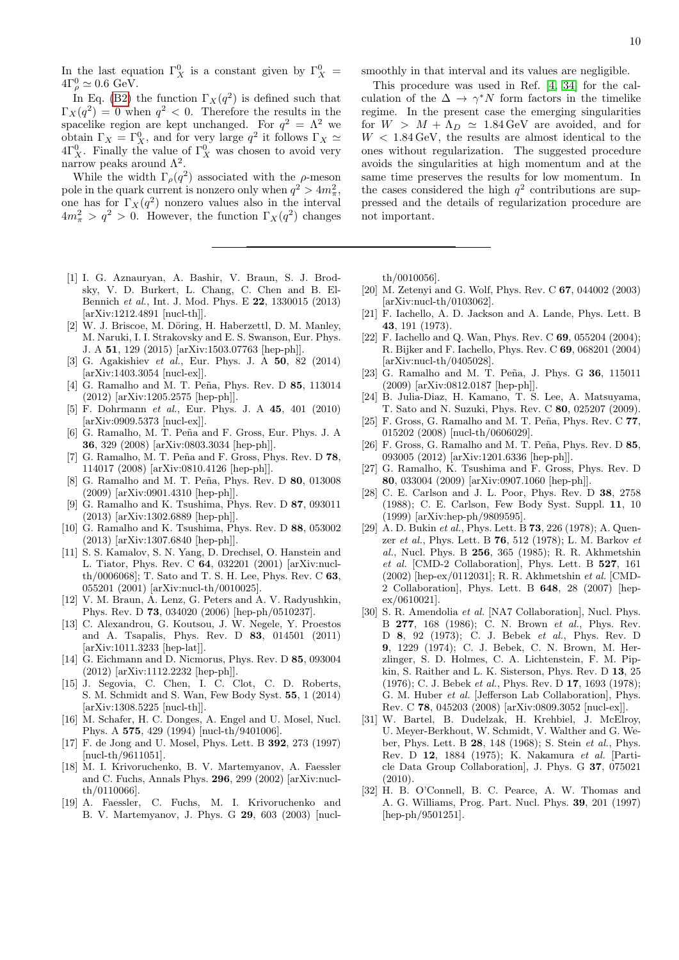In the last equation  $\Gamma_X^0$  is a constant given by  $\Gamma_X^0$  =  $4\Gamma_\rho^0 \simeq 0.6 \text{ GeV}.$ 

In Eq. [\(B2\)](#page-8-2) the function  $\Gamma_X(q^2)$  is defined such that  $\Gamma_X(q^2) = 0$  when  $q^2 < 0$ . Therefore the results in the spacelike region are kept unchanged. For  $q^2 = \Lambda^2$  we obtain  $\Gamma_X = \Gamma_X^0$ , and for very large  $q^2$  it follows  $\Gamma_X \simeq$  $4\Gamma_X^0$ . Finally the value of  $\Gamma_X^0$  was chosen to avoid very narrow peaks around  $\Lambda^2$ .

While the width  $\Gamma_{\rho}(q^2)$  associated with the  $\rho$ -meson pole in the quark current is nonzero only when  $q^2 > 4m_{\pi}^2$ , one has for  $\Gamma_X(q^2)$  nonzero values also in the interval  $4m_{\pi}^2 > q^2 > 0$ . However, the function  $\Gamma_X(q^2)$  changes

- <span id="page-9-0"></span>[1] I. G. Aznauryan, A. Bashir, V. Braun, S. J. Brodsky, V. D. Burkert, L. Chang, C. Chen and B. El-Bennich et al., Int. J. Mod. Phys. E 22, 1330015 (2013) [arXiv:1212.4891 [nucl-th]].
- <span id="page-9-2"></span>W. J. Briscoe, M. Döring, H. Haberzettl, D. M. Manley, M. Naruki, I. I. Strakovsky and E. S. Swanson, Eur. Phys. J. A 51, 129 (2015) [arXiv:1503.07763 [hep-ph]].
- <span id="page-9-1"></span>[3] G. Agakishiev et al., Eur. Phys. J. A 50, 82 (2014) [arXiv:1403.3054 [nucl-ex]].
- <span id="page-9-13"></span>[4] G. Ramalho and M. T. Peña, Phys. Rev. D 85, 113014 (2012) [arXiv:1205.2575 [hep-ph]].
- <span id="page-9-3"></span>[5] F. Dohrmann et al., Eur. Phys. J. A 45, 401 (2010) [arXiv:0909.5373 [nucl-ex]].
- <span id="page-9-4"></span>[6] G. Ramalho, M. T. Peña and F. Gross, Eur. Phys. J. A 36, 329 (2008) [arXiv:0803.3034 [hep-ph]].
- <span id="page-9-27"></span>[7] G. Ramalho, M. T. Peña and F. Gross, Phys. Rev. D 78, 114017 (2008) [arXiv:0810.4126 [hep-ph]].
- <span id="page-9-14"></span>[8] G. Ramalho and M. T. Peña, Phys. Rev. D 80, 013008 (2009) [arXiv:0901.4310 [hep-ph]].
- <span id="page-9-17"></span>[9] G. Ramalho and K. Tsushima, Phys. Rev. D 87, 093011 (2013) [arXiv:1302.6889 [hep-ph]].
- <span id="page-9-18"></span>[10] G. Ramalho and K. Tsushima, Phys. Rev. D 88, 053002 (2013) [arXiv:1307.6840 [hep-ph]].
- <span id="page-9-5"></span>[11] S. S. Kamalov, S. N. Yang, D. Drechsel, O. Hanstein and L. Tiator, Phys. Rev. C 64, 032201 (2001) [arXiv:nuclth/0006068]; T. Sato and T. S. H. Lee, Phys. Rev. C 63, 055201 (2001) [arXiv:nucl-th/0010025].
- <span id="page-9-6"></span>[12] V. M. Braun, A. Lenz, G. Peters and A. V. Radyushkin, Phys. Rev. D 73, 034020 (2006) [hep-ph/0510237].
- [13] C. Alexandrou, G. Koutsou, J. W. Negele, Y. Proestos and A. Tsapalis, Phys. Rev. D 83, 014501 (2011) [arXiv:1011.3233 [hep-lat]].
- [14] G. Eichmann and D. Nicmorus, Phys. Rev. D 85, 093004 (2012) [arXiv:1112.2232 [hep-ph]].
- <span id="page-9-7"></span>[15] J. Segovia, C. Chen, I. C. Clot, C. D. Roberts, S. M. Schmidt and S. Wan, Few Body Syst. 55, 1 (2014) [arXiv:1308.5225 [nucl-th]].
- <span id="page-9-8"></span>[16] M. Schafer, H. C. Donges, A. Engel and U. Mosel, Nucl. Phys. A 575, 429 (1994) [nucl-th/9401006].
- [17] F. de Jong and U. Mosel, Phys. Lett. B 392, 273 (1997) [nucl-th/9611051].
- <span id="page-9-28"></span>[18] M. I. Krivoruchenko, B. V. Martemyanov, A. Faessler and C. Fuchs, Annals Phys. 296, 299 (2002) [arXiv:nuclth/0110066].
- <span id="page-9-9"></span>[19] A. Faessler, C. Fuchs, M. I. Krivoruchenko and B. V. Martemyanov, J. Phys. G 29, 603 (2003) [nucl-

smoothly in that interval and its values are negligible.

This procedure was used in Ref. [\[4,](#page-9-13) [34\]](#page-10-5) for the calculation of the  $\Delta \rightarrow \gamma^* N$  form factors in the timelike regime. In the present case the emerging singularities for  $W > M + \Lambda_D \simeq 1.84 \,\text{GeV}$  are avoided, and for  $W < 1.84 \,\text{GeV}$ , the results are almost identical to the ones without regularization. The suggested procedure avoids the singularities at high momentum and at the same time preserves the results for low momentum. In the cases considered the high  $q^2$  contributions are suppressed and the details of regularization procedure are not important.

th/0010056].

- <span id="page-9-10"></span>[20] M. Zetenyi and G. Wolf, Phys. Rev. C 67, 044002 (2003) [arXiv:nucl-th/0103062].
- <span id="page-9-11"></span>[21] F. Iachello, A. D. Jackson and A. Lande, Phys. Lett. B 43, 191 (1973).
- <span id="page-9-12"></span>[22] F. Iachello and Q. Wan, Phys. Rev. C 69, 055204 (2004); R. Bijker and F. Iachello, Phys. Rev. C 69, 068201 (2004) [arXiv:nucl-th/0405028].
- <span id="page-9-15"></span>[23] G. Ramalho and M. T. Peña, J. Phys. G 36, 115011 (2009) [arXiv:0812.0187 [hep-ph]].
- <span id="page-9-16"></span>[24] B. Julia-Diaz, H. Kamano, T. S. Lee, A. Matsuyama, T. Sato and N. Suzuki, Phys. Rev. C 80, 025207 (2009).
- <span id="page-9-19"></span>[25] F. Gross, G. Ramalho and M. T. Peña, Phys. Rev. C 77, 015202 (2008) [nucl-th/0606029].
- <span id="page-9-20"></span>[26] F. Gross, G. Ramalho and M. T. Peña, Phys. Rev. D 85, 093005 (2012) [arXiv:1201.6336 [hep-ph]].
- <span id="page-9-21"></span>[27] G. Ramalho, K. Tsushima and F. Gross, Phys. Rev. D 80, 033004 (2009) [arXiv:0907.1060 [hep-ph]].
- <span id="page-9-22"></span>[28] C. E. Carlson and J. L. Poor, Phys. Rev. D 38, 2758 (1988); C. E. Carlson, Few Body Syst. Suppl. 11, 10 (1999) [arXiv:hep-ph/9809595].
- <span id="page-9-23"></span>[29] A. D. Bukin et al., Phys. Lett. B 73, 226 (1978); A. Quenzer et al., Phys. Lett. B 76, 512 (1978); L. M. Barkov et al., Nucl. Phys. B 256, 365 (1985); R. R. Akhmetshin et al. [CMD-2 Collaboration], Phys. Lett. B 527, 161 (2002) [hep-ex/0112031]; R. R. Akhmetshin et al. [CMD-2 Collaboration], Phys. Lett. B 648, 28 (2007) [hep $ex/0610021$ .
- <span id="page-9-24"></span>[30] S. R. Amendolia et al. [NA7 Collaboration], Nucl. Phys. B 277, 168 (1986); C. N. Brown et al., Phys. Rev. D 8, 92 (1973); C. J. Bebek et al., Phys. Rev. D 9, 1229 (1974); C. J. Bebek, C. N. Brown, M. Herzlinger, S. D. Holmes, C. A. Lichtenstein, F. M. Pipkin, S. Raither and L. K. Sisterson, Phys. Rev. D 13, 25 (1976); C. J. Bebek et al., Phys. Rev. D 17, 1693 (1978); G. M. Huber et al. [Jefferson Lab Collaboration], Phys. Rev. C 78, 045203 (2008) [arXiv:0809.3052 [nucl-ex]].
- <span id="page-9-26"></span>[31] W. Bartel, B. Dudelzak, H. Krehbiel, J. McElroy, U. Meyer-Berkhout, W. Schmidt, V. Walther and G. Weber, Phys. Lett. B 28, 148 (1968); S. Stein et al., Phys. Rev. D 12, 1884 (1975); K. Nakamura et al. [Particle Data Group Collaboration], J. Phys. G 37, 075021 (2010).
- <span id="page-9-25"></span>[32] H. B. O'Connell, B. C. Pearce, A. W. Thomas and A. G. Williams, Prog. Part. Nucl. Phys. 39, 201 (1997) [hep-ph/9501251].